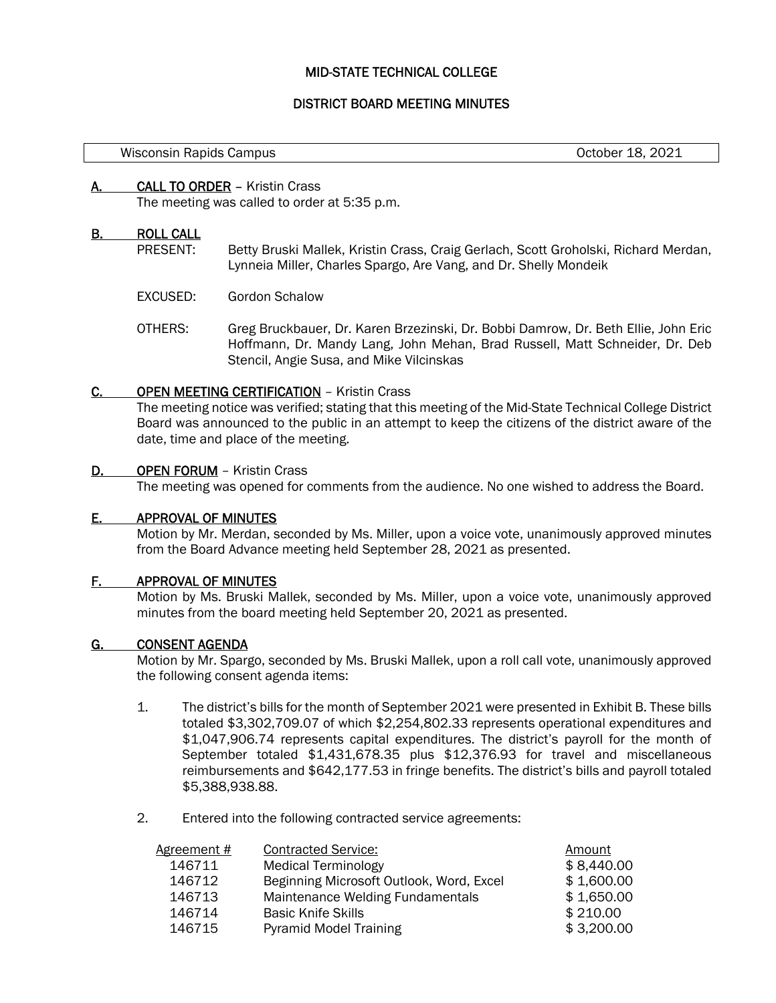# MID-STATE TECHNICAL COLLEGE

## DISTRICT BOARD MEETING MINUTES

| Wisconsin Rapids Campus |  |  |
|-------------------------|--|--|
|-------------------------|--|--|

October 18, 2021

## A. CALL TO ORDER – Kristin Crass

The meeting was called to order at 5:35 p.m.

## B. ROLL CALL

- PRESENT: Betty Bruski Mallek, Kristin Crass, Craig Gerlach, Scott Groholski, Richard Merdan, Lynneia Miller, Charles Spargo, Are Vang, and Dr. Shelly Mondeik
- EXCUSED: Gordon Schalow
- OTHERS: Greg Bruckbauer, Dr. Karen Brzezinski, Dr. Bobbi Damrow, Dr. Beth Ellie, John Eric Hoffmann, Dr. Mandy Lang, John Mehan, Brad Russell, Matt Schneider, Dr. Deb Stencil, Angie Susa, and Mike Vilcinskas

## C. OPEN MEETING CERTIFICATION – Kristin Crass

The meeting notice was verified; stating that this meeting of the Mid-State Technical College District Board was announced to the public in an attempt to keep the citizens of the district aware of the date, time and place of the meeting.

## D. **OPEN FORUM** – Kristin Crass

The meeting was opened for comments from the audience. No one wished to address the Board.

## E. APPROVAL OF MINUTES

Motion by Mr. Merdan, seconded by Ms. Miller, upon a voice vote, unanimously approved minutes from the Board Advance meeting held September 28, 2021 as presented.

## F. APPROVAL OF MINUTES

Motion by Ms. Bruski Mallek, seconded by Ms. Miller, upon a voice vote, unanimously approved minutes from the board meeting held September 20, 2021 as presented.

#### G. CONSENT AGENDA

Motion by Mr. Spargo, seconded by Ms. Bruski Mallek, upon a roll call vote, unanimously approved the following consent agenda items:

- 1. The district's bills for the month of September 2021 were presented in Exhibit B. These bills totaled \$3,302,709.07 of which \$2,254,802.33 represents operational expenditures and \$1,047,906.74 represents capital expenditures. The district's payroll for the month of September totaled \$1,431,678.35 plus \$12,376.93 for travel and miscellaneous reimbursements and \$642,177.53 in fringe benefits. The district's bills and payroll totaled \$5,388,938.88.
- 2. Entered into the following contracted service agreements:

| <b>Contracted Service:</b><br>Agreement #<br>Amount |            |
|-----------------------------------------------------|------------|
| 146711<br><b>Medical Terminology</b>                | \$8,440.00 |
| Beginning Microsoft Outlook, Word, Excel<br>146712  | \$1,600.00 |
| 146713<br>Maintenance Welding Fundamentals          | \$1,650.00 |
| <b>Basic Knife Skills</b><br>146714                 | \$210.00   |
| <b>Pyramid Model Training</b><br>146715             | \$3,200.00 |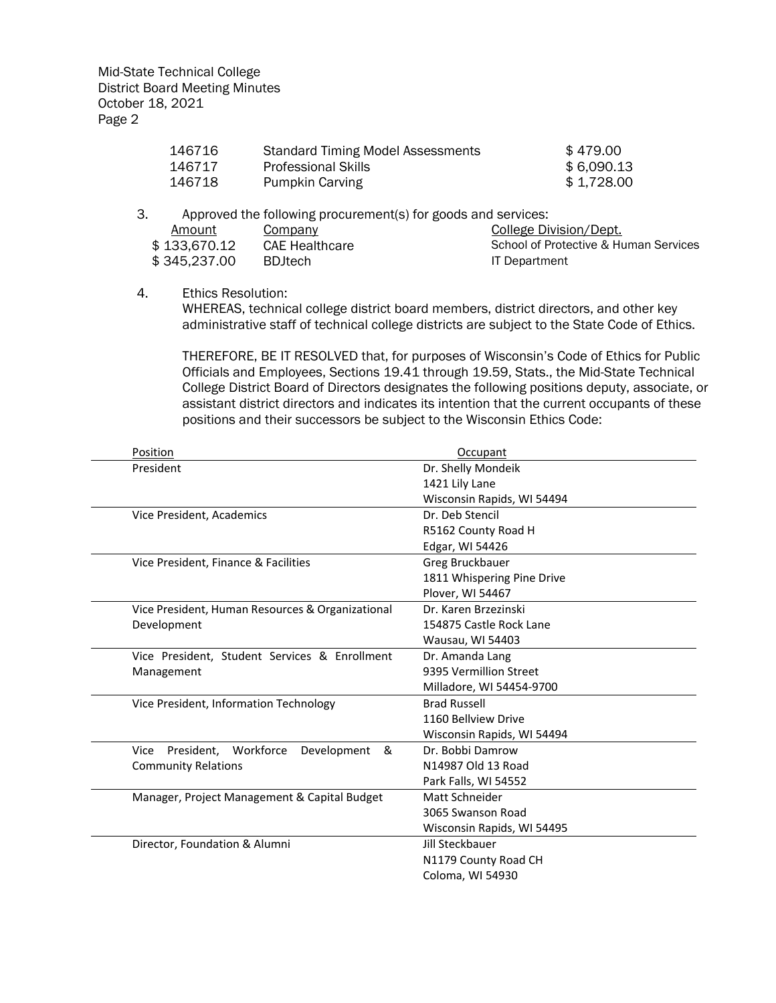| 146716 | <b>Standard Timing Model Assessments</b> | \$479.00   |
|--------|------------------------------------------|------------|
| 146717 | <b>Professional Skills</b>               | \$6,090.13 |
| 146718 | Pumpkin Carving                          | \$1.728.00 |

3. Approved the following procurement(s) for goods and services: Amount Company Content Company College Division/Dept.  $$ 133,670.12$  CAE Healthcare School of Protective & Human Services \$ 345,237.00 BDJtech IT Department

4. Ethics Resolution:

WHEREAS, technical college district board members, district directors, and other key administrative staff of technical college districts are subject to the State Code of Ethics.

THEREFORE, BE IT RESOLVED that, for purposes of Wisconsin's Code of Ethics for Public Officials and Employees, Sections 19.41 through 19.59, Stats., the Mid-State Technical College District Board of Directors designates the following positions deputy, associate, or assistant district directors and indicates its intention that the current occupants of these positions and their successors be subject to the Wisconsin Ethics Code:

| Position                                            | Occupant                   |
|-----------------------------------------------------|----------------------------|
| President                                           | Dr. Shelly Mondeik         |
|                                                     | 1421 Lily Lane             |
|                                                     | Wisconsin Rapids, WI 54494 |
| Vice President, Academics                           | Dr. Deb Stencil            |
|                                                     | R5162 County Road H        |
|                                                     | Edgar, WI 54426            |
| Vice President, Finance & Facilities                | Greg Bruckbauer            |
|                                                     | 1811 Whispering Pine Drive |
|                                                     | Plover, WI 54467           |
| Vice President, Human Resources & Organizational    | Dr. Karen Brzezinski       |
| Development                                         | 154875 Castle Rock Lane    |
|                                                     | Wausau, WI 54403           |
| Vice President, Student Services & Enrollment       | Dr. Amanda Lang            |
| Management                                          | 9395 Vermillion Street     |
|                                                     | Milladore, WI 54454-9700   |
| Vice President, Information Technology              | <b>Brad Russell</b>        |
|                                                     | 1160 Bellview Drive        |
|                                                     | Wisconsin Rapids, WI 54494 |
| Workforce<br>Vice<br>President.<br>Development<br>& | Dr. Bobbi Damrow           |
| <b>Community Relations</b>                          | N14987 Old 13 Road         |
|                                                     | Park Falls, WI 54552       |
| Manager, Project Management & Capital Budget        | Matt Schneider             |
|                                                     | 3065 Swanson Road          |
|                                                     | Wisconsin Rapids, WI 54495 |
| Director, Foundation & Alumni                       | Jill Steckbauer            |
|                                                     | N1179 County Road CH       |
|                                                     | Coloma, WI 54930           |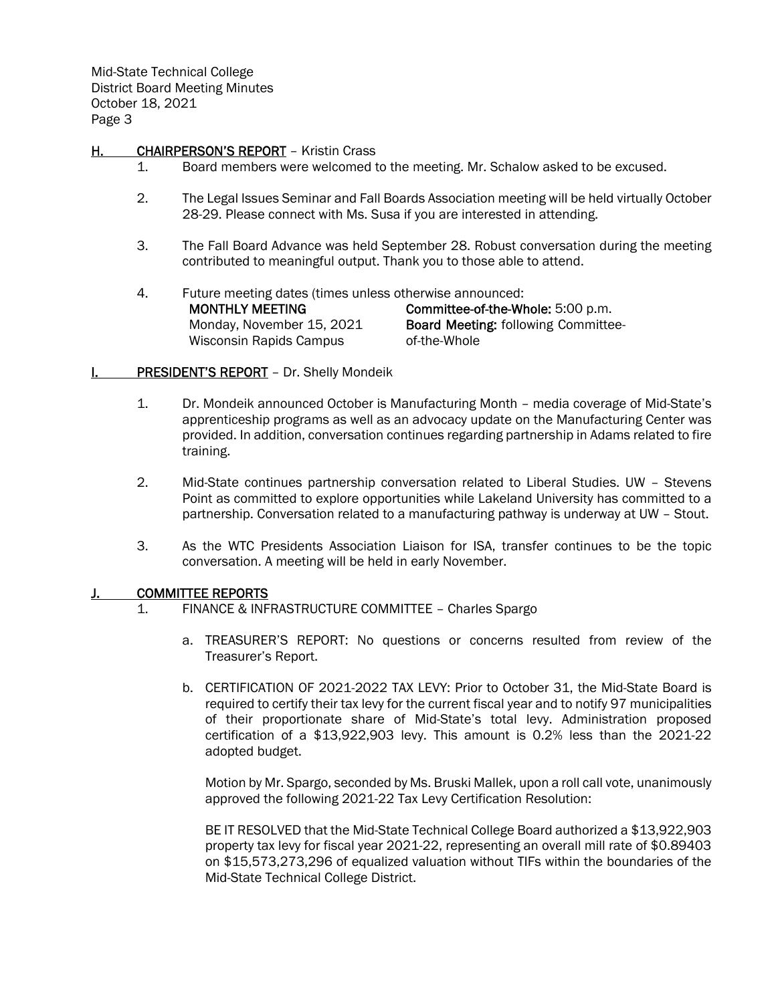# H. CHAIRPERSON'S REPORT - Kristin Crass

- 1. Board members were welcomed to the meeting. Mr. Schalow asked to be excused.
- 2. The Legal Issues Seminar and Fall Boards Association meeting will be held virtually October 28-29. Please connect with Ms. Susa if you are interested in attending.
- 3. The Fall Board Advance was held September 28. Robust conversation during the meeting contributed to meaningful output. Thank you to those able to attend.
- 4. Future meeting dates (times unless otherwise announced:

MONTHLY MEETING Monday, November 15, 2021 Wisconsin Rapids Campus

Committee-of-the-Whole: 5:00 p.m. Board Meeting: following Committeeof-the-Whole

# **I. PRESIDENT'S REPORT** - Dr. Shelly Mondeik

- 1. Dr. Mondeik announced October is Manufacturing Month media coverage of Mid-State's apprenticeship programs as well as an advocacy update on the Manufacturing Center was provided. In addition, conversation continues regarding partnership in Adams related to fire training.
- 2. Mid-State continues partnership conversation related to Liberal Studies. UW Stevens Point as committed to explore opportunities while Lakeland University has committed to a partnership. Conversation related to a manufacturing pathway is underway at UW – Stout.
- 3. As the WTC Presidents Association Liaison for ISA, transfer continues to be the topic conversation. A meeting will be held in early November.

# J. **COMMITTEE REPORTS**

- 1. FINANCE & INFRASTRUCTURE COMMITTEE Charles Spargo
	- a. TREASURER'S REPORT: No questions or concerns resulted from review of the Treasurer's Report.
	- b. CERTIFICATION OF 2021-2022 TAX LEVY: Prior to October 31, the Mid-State Board is required to certify their tax levy for the current fiscal year and to notify 97 municipalities of their proportionate share of Mid-State's total levy. Administration proposed certification of a \$13,922,903 levy. This amount is 0.2% less than the 2021-22 adopted budget.

Motion by Mr. Spargo, seconded by Ms. Bruski Mallek, upon a roll call vote, unanimously approved the following 2021-22 Tax Levy Certification Resolution:

BE IT RESOLVED that the Mid-State Technical College Board authorized a \$13,922,903 property tax levy for fiscal year 2021-22, representing an overall mill rate of \$0.89403 on \$15,573,273,296 of equalized valuation without TIFs within the boundaries of the Mid-State Technical College District.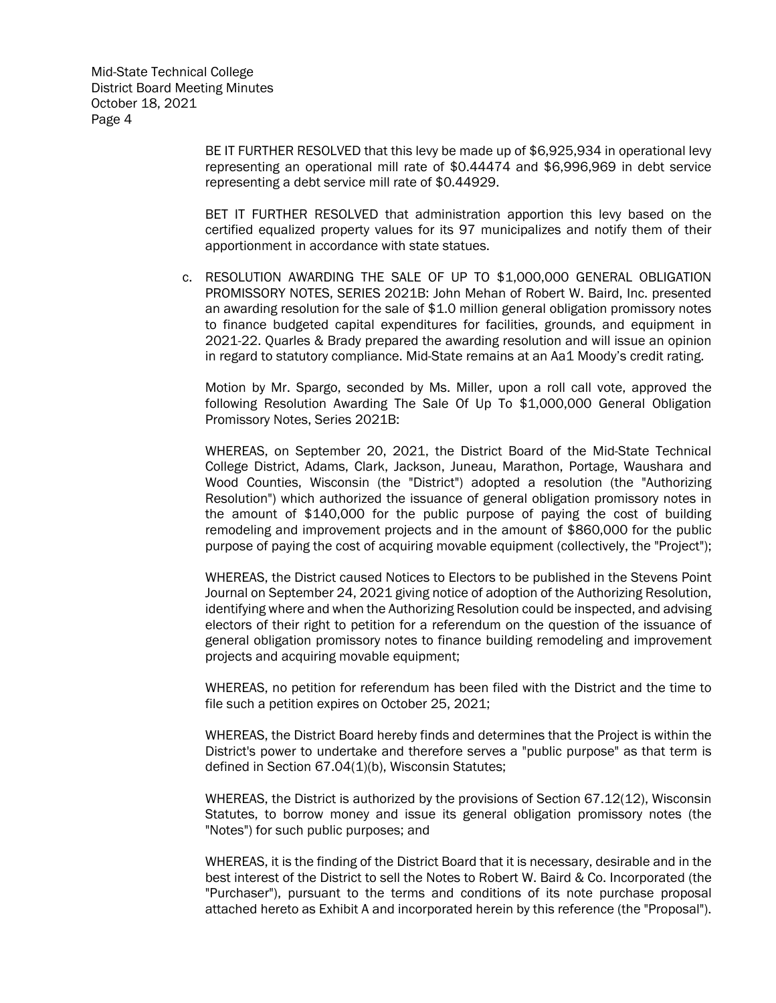BE IT FURTHER RESOLVED that this levy be made up of \$6,925,934 in operational levy representing an operational mill rate of \$0.44474 and \$6,996,969 in debt service representing a debt service mill rate of \$0.44929.

BET IT FURTHER RESOLVED that administration apportion this levy based on the certified equalized property values for its 97 municipalizes and notify them of their apportionment in accordance with state statues.

c. RESOLUTION AWARDING THE SALE OF UP TO \$1,000,000 GENERAL OBLIGATION PROMISSORY NOTES, SERIES 2021B: John Mehan of Robert W. Baird, Inc. presented an awarding resolution for the sale of \$1.0 million general obligation promissory notes to finance budgeted capital expenditures for facilities, grounds, and equipment in 2021-22. Quarles & Brady prepared the awarding resolution and will issue an opinion in regard to statutory compliance. Mid-State remains at an Aa1 Moody's credit rating.

Motion by Mr. Spargo, seconded by Ms. Miller, upon a roll call vote, approved the following Resolution Awarding The Sale Of Up To \$1,000,000 General Obligation Promissory Notes, Series 2021B:

WHEREAS, on September 20, 2021, the District Board of the Mid-State Technical College District, Adams, Clark, Jackson, Juneau, Marathon, Portage, Waushara and Wood Counties, Wisconsin (the "District") adopted a resolution (the "Authorizing Resolution") which authorized the issuance of general obligation promissory notes in the amount of \$140,000 for the public purpose of paying the cost of building remodeling and improvement projects and in the amount of \$860,000 for the public purpose of paying the cost of acquiring movable equipment (collectively, the "Project");

WHEREAS, the District caused Notices to Electors to be published in the Stevens Point Journal on September 24, 2021 giving notice of adoption of the Authorizing Resolution, identifying where and when the Authorizing Resolution could be inspected, and advising electors of their right to petition for a referendum on the question of the issuance of general obligation promissory notes to finance building remodeling and improvement projects and acquiring movable equipment;

WHEREAS, no petition for referendum has been filed with the District and the time to file such a petition expires on October 25, 2021;

WHEREAS, the District Board hereby finds and determines that the Project is within the District's power to undertake and therefore serves a "public purpose" as that term is defined in Section 67.04(1)(b), Wisconsin Statutes;

WHEREAS, the District is authorized by the provisions of Section 67.12(12), Wisconsin Statutes, to borrow money and issue its general obligation promissory notes (the "Notes") for such public purposes; and

WHEREAS, it is the finding of the District Board that it is necessary, desirable and in the best interest of the District to sell the Notes to Robert W. Baird & Co. Incorporated (the "Purchaser"), pursuant to the terms and conditions of its note purchase proposal attached hereto as Exhibit A and incorporated herein by this reference (the "Proposal").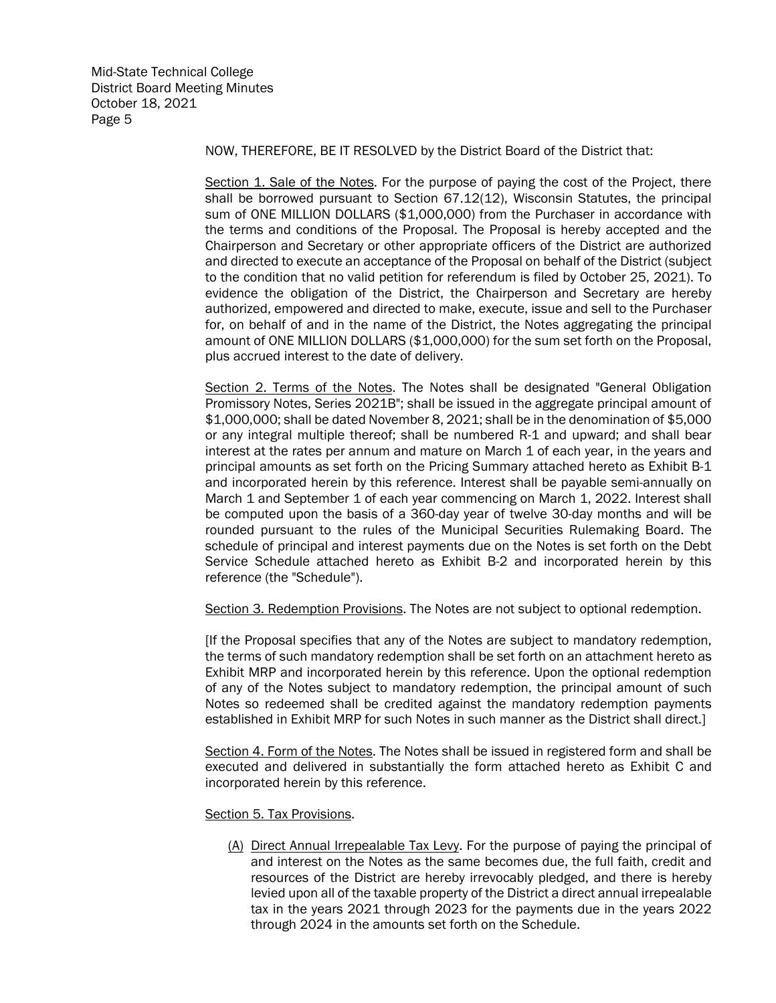NOW, THEREFORE, BE IT RESOLVED by the District Board of the District that:

Section 1. Sale of the Notes. For the purpose of paying the cost of the Project, there shall be borrowed pursuant to Section 67.12(12), Wisconsin Statutes, the principal sum of ONE MILLION DOLLARS (\$1,000,000) from the Purchaser in accordance with the terms and conditions of the Proposal. The Proposal is hereby accepted and the Chairperson and Secretary or other appropriate officers of the District are authorized and directed to execute an acceptance of the Proposal on behalf of the District (subject to the condition that no valid petition for referendum is filed by October 25, 2021). To evidence the obligation of the District, the Chairperson and Secretary are hereby authorized, empowered and directed to make, execute, issue and sell to the Purchaser for, on behalf of and in the name of the District, the Notes aggregating the principal amount of ONE MILLION DOLLARS (\$1,000,000) for the sum set forth on the Proposal, plus accrued interest to the date of delivery.

Section 2. Terms of the Notes. The Notes shall be designated "General Obligation Promissory Notes, Series 2021B"; shall be issued in the aggregate principal amount of \$1,000,000; shall be dated November 8, 2021; shall be in the denomination of \$5,000 or any integral multiple thereof; shall be numbered R-1 and upward; and shall bear interest at the rates per annum and mature on March 1 of each year, in the years and principal amounts as set forth on the Pricing Summary attached hereto as Exhibit B-1 and incorporated herein by this reference. Interest shall be payable semi-annually on March 1 and September 1 of each year commencing on March 1, 2022. Interest shall be computed upon the basis of a 360-day year of twelve 30-day months and will be rounded pursuant to the rules of the Municipal Securities Rulemaking Board. The schedule of principal and interest payments due on the Notes is set forth on the Debt Service Schedule attached hereto as Exhibit B-2 and incorporated herein by this reference (the "Schedule").

Section 3. Redemption Provisions. The Notes are not subject to optional redemption.

[If the Proposal specifies that any of the Notes are subject to mandatory redemption, the terms of such mandatory redemption shall be set forth on an attachment hereto as Exhibit MRP and incorporated herein by this reference. Upon the optional redemption of any of the Notes subject to mandatory redemption, the principal amount of such Notes so redeemed shall be credited against the mandatory redemption payments established in Exhibit MRP for such Notes in such manner as the District shall direct.]

Section 4. Form of the Notes. The Notes shall be issued in registered form and shall be executed and delivered in substantially the form attached hereto as Exhibit C and incorporated herein by this reference.

Section 5. Tax Provisions.

(A) Direct Annual Irrepealable Tax Levy. For the purpose of paying the principal of and interest on the Notes as the same becomes due, the full faith, credit and resources of the District are hereby irrevocably pledged, and there is hereby levied upon all of the taxable property of the District a direct annual irrepealable tax in the years 2021 through 2023 for the payments due in the years 2022 through 2024 in the amounts set forth on the Schedule.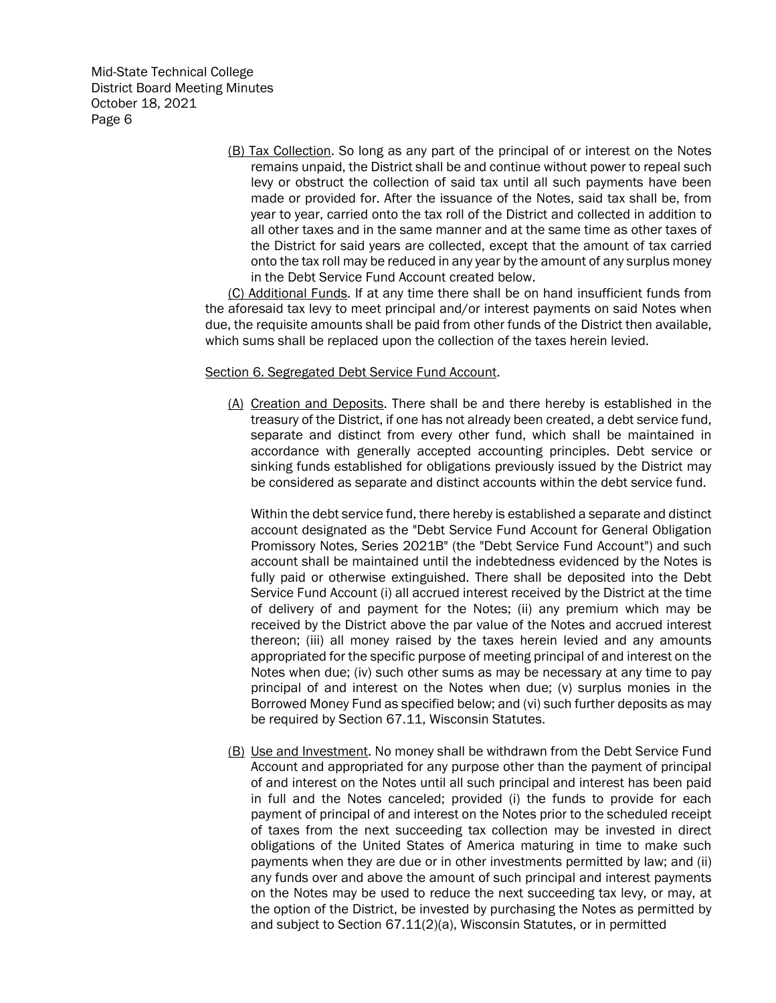> (B) Tax Collection. So long as any part of the principal of or interest on the Notes remains unpaid, the District shall be and continue without power to repeal such levy or obstruct the collection of said tax until all such payments have been made or provided for. After the issuance of the Notes, said tax shall be, from year to year, carried onto the tax roll of the District and collected in addition to all other taxes and in the same manner and at the same time as other taxes of the District for said years are collected, except that the amount of tax carried onto the tax roll may be reduced in any year by the amount of any surplus money in the Debt Service Fund Account created below.

(C) Additional Funds. If at any time there shall be on hand insufficient funds from the aforesaid tax levy to meet principal and/or interest payments on said Notes when due, the requisite amounts shall be paid from other funds of the District then available, which sums shall be replaced upon the collection of the taxes herein levied.

## Section 6. Segregated Debt Service Fund Account.

(A) Creation and Deposits. There shall be and there hereby is established in the treasury of the District, if one has not already been created, a debt service fund, separate and distinct from every other fund, which shall be maintained in accordance with generally accepted accounting principles. Debt service or sinking funds established for obligations previously issued by the District may be considered as separate and distinct accounts within the debt service fund.

Within the debt service fund, there hereby is established a separate and distinct account designated as the "Debt Service Fund Account for General Obligation Promissory Notes, Series 2021B" (the "Debt Service Fund Account") and such account shall be maintained until the indebtedness evidenced by the Notes is fully paid or otherwise extinguished. There shall be deposited into the Debt Service Fund Account (i) all accrued interest received by the District at the time of delivery of and payment for the Notes; (ii) any premium which may be received by the District above the par value of the Notes and accrued interest thereon; (iii) all money raised by the taxes herein levied and any amounts appropriated for the specific purpose of meeting principal of and interest on the Notes when due; (iv) such other sums as may be necessary at any time to pay principal of and interest on the Notes when due; (v) surplus monies in the Borrowed Money Fund as specified below; and (vi) such further deposits as may be required by Section 67.11, Wisconsin Statutes.

(B) Use and Investment. No money shall be withdrawn from the Debt Service Fund Account and appropriated for any purpose other than the payment of principal of and interest on the Notes until all such principal and interest has been paid in full and the Notes canceled; provided (i) the funds to provide for each payment of principal of and interest on the Notes prior to the scheduled receipt of taxes from the next succeeding tax collection may be invested in direct obligations of the United States of America maturing in time to make such payments when they are due or in other investments permitted by law; and (ii) any funds over and above the amount of such principal and interest payments on the Notes may be used to reduce the next succeeding tax levy, or may, at the option of the District, be invested by purchasing the Notes as permitted by and subject to Section 67.11(2)(a), Wisconsin Statutes, or in permitted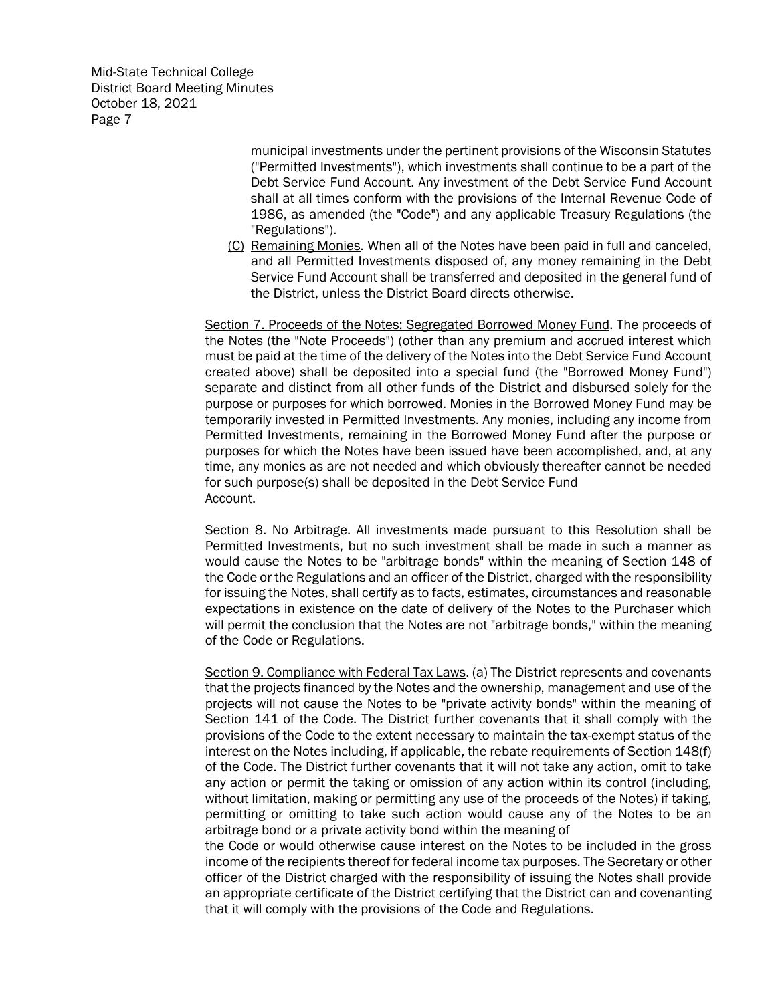> municipal investments under the pertinent provisions of the Wisconsin Statutes ("Permitted Investments"), which investments shall continue to be a part of the Debt Service Fund Account. Any investment of the Debt Service Fund Account shall at all times conform with the provisions of the Internal Revenue Code of 1986, as amended (the "Code") and any applicable Treasury Regulations (the "Regulations").

(C) Remaining Monies. When all of the Notes have been paid in full and canceled, and all Permitted Investments disposed of, any money remaining in the Debt Service Fund Account shall be transferred and deposited in the general fund of the District, unless the District Board directs otherwise.

Section 7. Proceeds of the Notes; Segregated Borrowed Money Fund. The proceeds of the Notes (the "Note Proceeds") (other than any premium and accrued interest which must be paid at the time of the delivery of the Notes into the Debt Service Fund Account created above) shall be deposited into a special fund (the "Borrowed Money Fund") separate and distinct from all other funds of the District and disbursed solely for the purpose or purposes for which borrowed. Monies in the Borrowed Money Fund may be temporarily invested in Permitted Investments. Any monies, including any income from Permitted Investments, remaining in the Borrowed Money Fund after the purpose or purposes for which the Notes have been issued have been accomplished, and, at any time, any monies as are not needed and which obviously thereafter cannot be needed for such purpose(s) shall be deposited in the Debt Service Fund Account.

Section 8. No Arbitrage. All investments made pursuant to this Resolution shall be Permitted Investments, but no such investment shall be made in such a manner as would cause the Notes to be "arbitrage bonds" within the meaning of Section 148 of the Code or the Regulations and an officer of the District, charged with the responsibility for issuing the Notes, shall certify as to facts, estimates, circumstances and reasonable expectations in existence on the date of delivery of the Notes to the Purchaser which will permit the conclusion that the Notes are not "arbitrage bonds," within the meaning of the Code or Regulations.

Section 9. Compliance with Federal Tax Laws. (a) The District represents and covenants that the projects financed by the Notes and the ownership, management and use of the projects will not cause the Notes to be "private activity bonds" within the meaning of Section 141 of the Code. The District further covenants that it shall comply with the provisions of the Code to the extent necessary to maintain the tax-exempt status of the interest on the Notes including, if applicable, the rebate requirements of Section 148(f) of the Code. The District further covenants that it will not take any action, omit to take any action or permit the taking or omission of any action within its control (including, without limitation, making or permitting any use of the proceeds of the Notes) if taking, permitting or omitting to take such action would cause any of the Notes to be an arbitrage bond or a private activity bond within the meaning of

the Code or would otherwise cause interest on the Notes to be included in the gross income of the recipients thereof for federal income tax purposes. The Secretary or other officer of the District charged with the responsibility of issuing the Notes shall provide an appropriate certificate of the District certifying that the District can and covenanting that it will comply with the provisions of the Code and Regulations.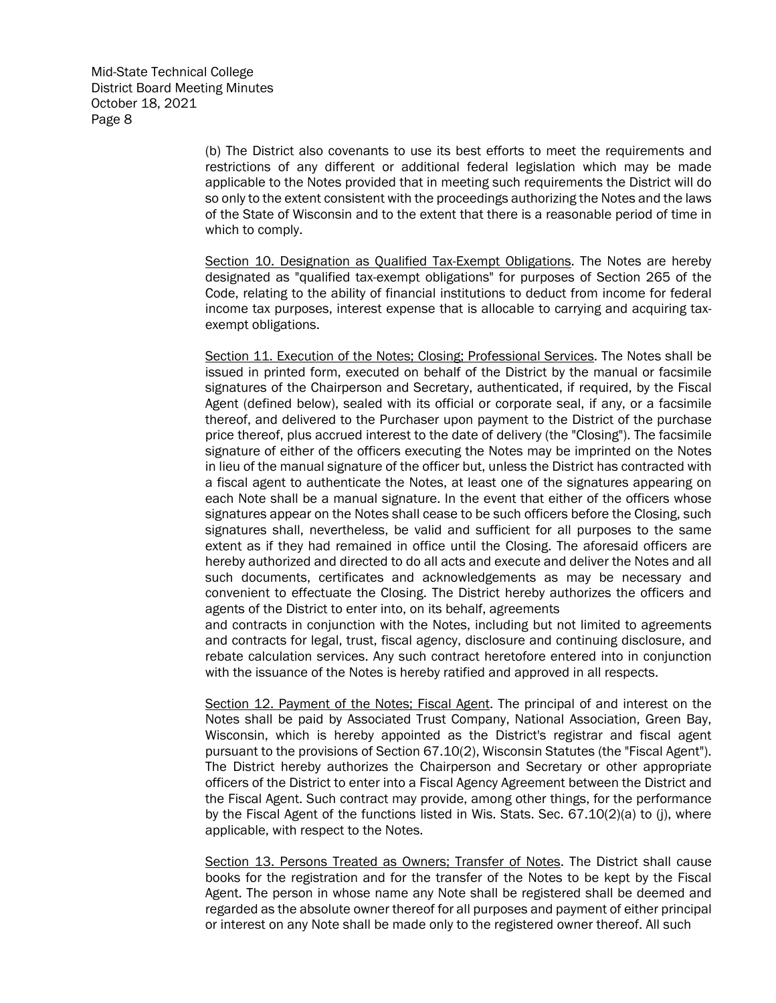(b) The District also covenants to use its best efforts to meet the requirements and restrictions of any different or additional federal legislation which may be made applicable to the Notes provided that in meeting such requirements the District will do so only to the extent consistent with the proceedings authorizing the Notes and the laws of the State of Wisconsin and to the extent that there is a reasonable period of time in which to comply.

Section 10. Designation as Qualified Tax-Exempt Obligations. The Notes are hereby designated as "qualified tax-exempt obligations" for purposes of Section 265 of the Code, relating to the ability of financial institutions to deduct from income for federal income tax purposes, interest expense that is allocable to carrying and acquiring taxexempt obligations.

Section 11. Execution of the Notes; Closing; Professional Services. The Notes shall be issued in printed form, executed on behalf of the District by the manual or facsimile signatures of the Chairperson and Secretary, authenticated, if required, by the Fiscal Agent (defined below), sealed with its official or corporate seal, if any, or a facsimile thereof, and delivered to the Purchaser upon payment to the District of the purchase price thereof, plus accrued interest to the date of delivery (the "Closing"). The facsimile signature of either of the officers executing the Notes may be imprinted on the Notes in lieu of the manual signature of the officer but, unless the District has contracted with a fiscal agent to authenticate the Notes, at least one of the signatures appearing on each Note shall be a manual signature. In the event that either of the officers whose signatures appear on the Notes shall cease to be such officers before the Closing, such signatures shall, nevertheless, be valid and sufficient for all purposes to the same extent as if they had remained in office until the Closing. The aforesaid officers are hereby authorized and directed to do all acts and execute and deliver the Notes and all such documents, certificates and acknowledgements as may be necessary and convenient to effectuate the Closing. The District hereby authorizes the officers and agents of the District to enter into, on its behalf, agreements

and contracts in conjunction with the Notes, including but not limited to agreements and contracts for legal, trust, fiscal agency, disclosure and continuing disclosure, and rebate calculation services. Any such contract heretofore entered into in conjunction with the issuance of the Notes is hereby ratified and approved in all respects.

Section 12. Payment of the Notes; Fiscal Agent. The principal of and interest on the Notes shall be paid by Associated Trust Company, National Association, Green Bay, Wisconsin, which is hereby appointed as the District's registrar and fiscal agent pursuant to the provisions of Section 67.10(2), Wisconsin Statutes (the "Fiscal Agent"). The District hereby authorizes the Chairperson and Secretary or other appropriate officers of the District to enter into a Fiscal Agency Agreement between the District and the Fiscal Agent. Such contract may provide, among other things, for the performance by the Fiscal Agent of the functions listed in Wis. Stats. Sec. 67.10(2)(a) to (j), where applicable, with respect to the Notes.

Section 13. Persons Treated as Owners; Transfer of Notes. The District shall cause books for the registration and for the transfer of the Notes to be kept by the Fiscal Agent. The person in whose name any Note shall be registered shall be deemed and regarded as the absolute owner thereof for all purposes and payment of either principal or interest on any Note shall be made only to the registered owner thereof. All such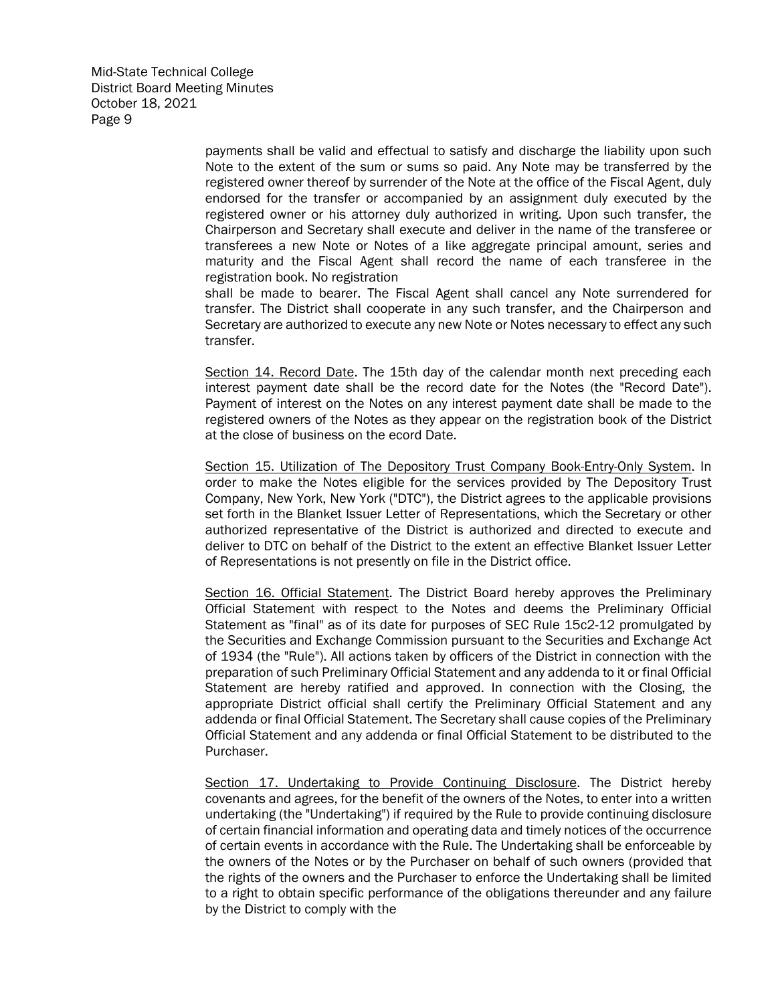> payments shall be valid and effectual to satisfy and discharge the liability upon such Note to the extent of the sum or sums so paid. Any Note may be transferred by the registered owner thereof by surrender of the Note at the office of the Fiscal Agent, duly endorsed for the transfer or accompanied by an assignment duly executed by the registered owner or his attorney duly authorized in writing. Upon such transfer, the Chairperson and Secretary shall execute and deliver in the name of the transferee or transferees a new Note or Notes of a like aggregate principal amount, series and maturity and the Fiscal Agent shall record the name of each transferee in the registration book. No registration

> shall be made to bearer. The Fiscal Agent shall cancel any Note surrendered for transfer. The District shall cooperate in any such transfer, and the Chairperson and Secretary are authorized to execute any new Note or Notes necessary to effect any such transfer.

> Section 14. Record Date. The 15th day of the calendar month next preceding each interest payment date shall be the record date for the Notes (the "Record Date"). Payment of interest on the Notes on any interest payment date shall be made to the registered owners of the Notes as they appear on the registration book of the District at the close of business on the ecord Date.

> Section 15. Utilization of The Depository Trust Company Book-Entry-Only System. In order to make the Notes eligible for the services provided by The Depository Trust Company, New York, New York ("DTC"), the District agrees to the applicable provisions set forth in the Blanket Issuer Letter of Representations, which the Secretary or other authorized representative of the District is authorized and directed to execute and deliver to DTC on behalf of the District to the extent an effective Blanket Issuer Letter of Representations is not presently on file in the District office.

> Section 16. Official Statement. The District Board hereby approves the Preliminary Official Statement with respect to the Notes and deems the Preliminary Official Statement as "final" as of its date for purposes of SEC Rule 15c2-12 promulgated by the Securities and Exchange Commission pursuant to the Securities and Exchange Act of 1934 (the "Rule"). All actions taken by officers of the District in connection with the preparation of such Preliminary Official Statement and any addenda to it or final Official Statement are hereby ratified and approved. In connection with the Closing, the appropriate District official shall certify the Preliminary Official Statement and any addenda or final Official Statement. The Secretary shall cause copies of the Preliminary Official Statement and any addenda or final Official Statement to be distributed to the Purchaser.

> Section 17. Undertaking to Provide Continuing Disclosure. The District hereby covenants and agrees, for the benefit of the owners of the Notes, to enter into a written undertaking (the "Undertaking") if required by the Rule to provide continuing disclosure of certain financial information and operating data and timely notices of the occurrence of certain events in accordance with the Rule. The Undertaking shall be enforceable by the owners of the Notes or by the Purchaser on behalf of such owners (provided that the rights of the owners and the Purchaser to enforce the Undertaking shall be limited to a right to obtain specific performance of the obligations thereunder and any failure by the District to comply with the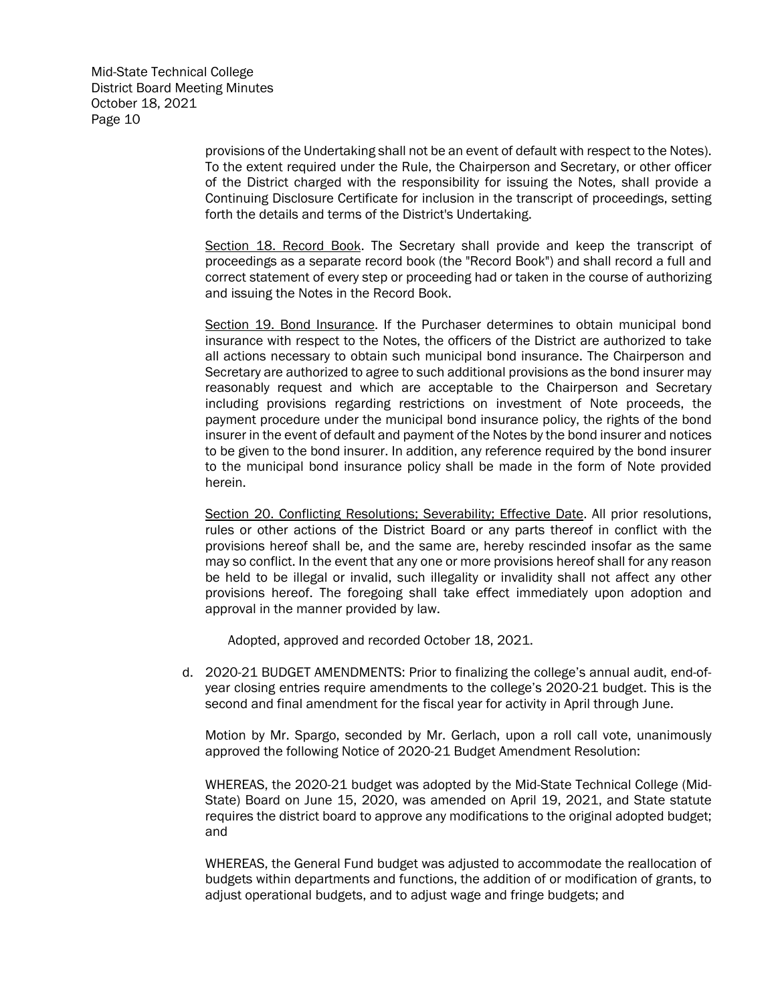> provisions of the Undertaking shall not be an event of default with respect to the Notes). To the extent required under the Rule, the Chairperson and Secretary, or other officer of the District charged with the responsibility for issuing the Notes, shall provide a Continuing Disclosure Certificate for inclusion in the transcript of proceedings, setting forth the details and terms of the District's Undertaking.

> Section 18. Record Book. The Secretary shall provide and keep the transcript of proceedings as a separate record book (the "Record Book") and shall record a full and correct statement of every step or proceeding had or taken in the course of authorizing and issuing the Notes in the Record Book.

> Section 19. Bond Insurance. If the Purchaser determines to obtain municipal bond insurance with respect to the Notes, the officers of the District are authorized to take all actions necessary to obtain such municipal bond insurance. The Chairperson and Secretary are authorized to agree to such additional provisions as the bond insurer may reasonably request and which are acceptable to the Chairperson and Secretary including provisions regarding restrictions on investment of Note proceeds, the payment procedure under the municipal bond insurance policy, the rights of the bond insurer in the event of default and payment of the Notes by the bond insurer and notices to be given to the bond insurer. In addition, any reference required by the bond insurer to the municipal bond insurance policy shall be made in the form of Note provided herein.

> Section 20. Conflicting Resolutions; Severability; Effective Date. All prior resolutions, rules or other actions of the District Board or any parts thereof in conflict with the provisions hereof shall be, and the same are, hereby rescinded insofar as the same may so conflict. In the event that any one or more provisions hereof shall for any reason be held to be illegal or invalid, such illegality or invalidity shall not affect any other provisions hereof. The foregoing shall take effect immediately upon adoption and approval in the manner provided by law.

Adopted, approved and recorded October 18, 2021.

d. 2020-21 BUDGET AMENDMENTS: Prior to finalizing the college's annual audit, end-ofyear closing entries require amendments to the college's 2020-21 budget. This is the second and final amendment for the fiscal year for activity in April through June.

Motion by Mr. Spargo, seconded by Mr. Gerlach, upon a roll call vote, unanimously approved the following Notice of 2020-21 Budget Amendment Resolution:

WHEREAS, the 2020-21 budget was adopted by the Mid-State Technical College (Mid-State) Board on June 15, 2020, was amended on April 19, 2021, and State statute requires the district board to approve any modifications to the original adopted budget; and

WHEREAS, the General Fund budget was adjusted to accommodate the reallocation of budgets within departments and functions, the addition of or modification of grants, to adjust operational budgets, and to adjust wage and fringe budgets; and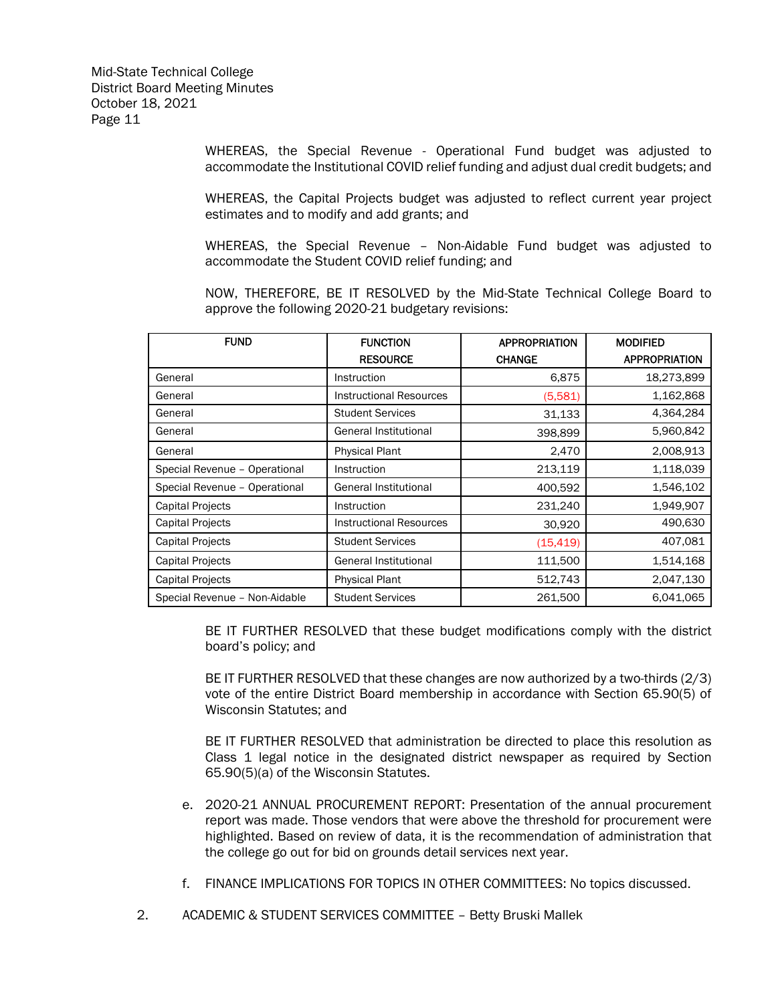WHEREAS, the Special Revenue - Operational Fund budget was adjusted to accommodate the Institutional COVID relief funding and adjust dual credit budgets; and

WHEREAS, the Capital Projects budget was adjusted to reflect current year project estimates and to modify and add grants; and

WHEREAS, the Special Revenue – Non-Aidable Fund budget was adjusted to accommodate the Student COVID relief funding; and

NOW, THEREFORE, BE IT RESOLVED by the Mid-State Technical College Board to approve the following 2020-21 budgetary revisions:

| <b>FUND</b>                   | <b>FUNCTION</b>                | <b>APPROPRIATION</b> | <b>MODIFIED</b>      |
|-------------------------------|--------------------------------|----------------------|----------------------|
|                               | <b>RESOURCE</b>                | <b>CHANGE</b>        | <b>APPROPRIATION</b> |
| General                       | Instruction                    | 6,875                | 18,273,899           |
| General                       | <b>Instructional Resources</b> | (5,581)              | 1,162,868            |
| General                       | <b>Student Services</b>        | 31,133               | 4,364,284            |
| General                       | General Institutional          | 398,899              | 5,960,842            |
| General                       | <b>Physical Plant</b>          | 2,470                | 2,008,913            |
| Special Revenue - Operational | Instruction                    | 213,119              | 1,118,039            |
| Special Revenue - Operational | General Institutional          | 400,592              | 1,546,102            |
| <b>Capital Projects</b>       | Instruction                    | 231,240              | 1,949,907            |
| <b>Capital Projects</b>       | <b>Instructional Resources</b> | 30,920               | 490,630              |
| <b>Capital Projects</b>       | <b>Student Services</b>        | (15, 419)            | 407,081              |
| <b>Capital Projects</b>       | General Institutional          | 111,500              | 1,514,168            |
| <b>Capital Projects</b>       | <b>Physical Plant</b>          | 512,743              | 2,047,130            |
| Special Revenue - Non-Aidable | <b>Student Services</b>        | 261,500              | 6,041,065            |

BE IT FURTHER RESOLVED that these budget modifications comply with the district board's policy; and

BE IT FURTHER RESOLVED that these changes are now authorized by a two-thirds (2/3) vote of the entire District Board membership in accordance with Section 65.90(5) of Wisconsin Statutes; and

BE IT FURTHER RESOLVED that administration be directed to place this resolution as Class 1 legal notice in the designated district newspaper as required by Section 65.90(5)(a) of the Wisconsin Statutes.

- e. 2020-21 ANNUAL PROCUREMENT REPORT: Presentation of the annual procurement report was made. Those vendors that were above the threshold for procurement were highlighted. Based on review of data, it is the recommendation of administration that the college go out for bid on grounds detail services next year.
- f. FINANCE IMPLICATIONS FOR TOPICS IN OTHER COMMITTEES: No topics discussed.
- 2. ACADEMIC & STUDENT SERVICES COMMITTEE Betty Bruski Mallek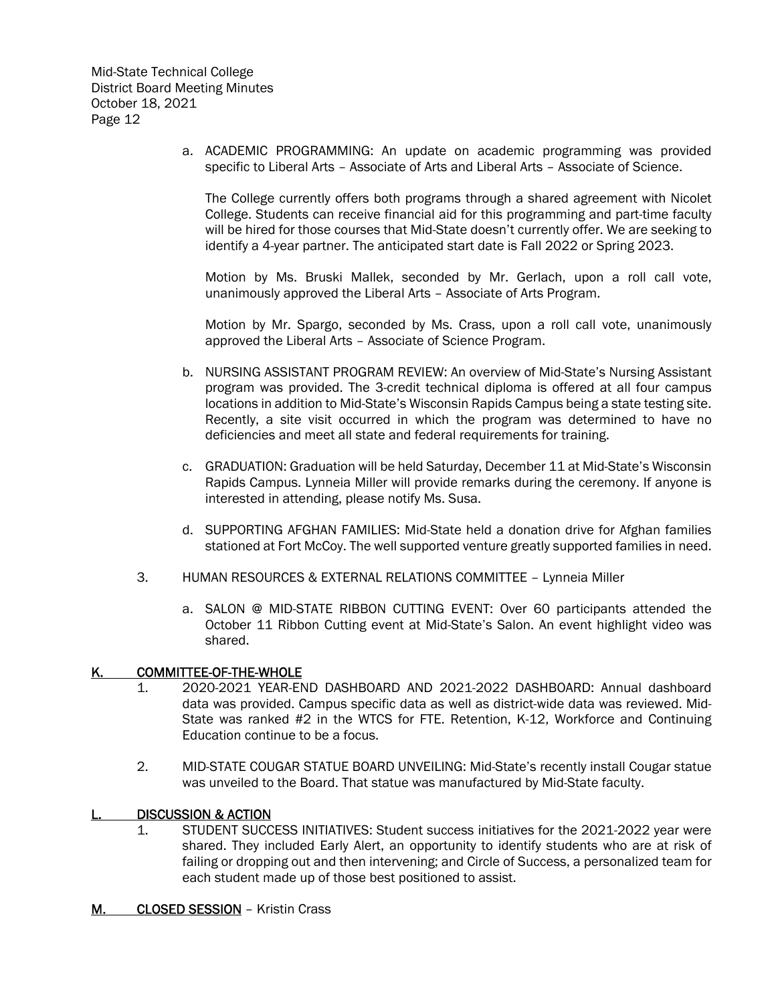a. ACADEMIC PROGRAMMING: An update on academic programming was provided specific to Liberal Arts – Associate of Arts and Liberal Arts – Associate of Science.

The College currently offers both programs through a shared agreement with Nicolet College. Students can receive financial aid for this programming and part-time faculty will be hired for those courses that Mid-State doesn't currently offer. We are seeking to identify a 4-year partner. The anticipated start date is Fall 2022 or Spring 2023.

Motion by Ms. Bruski Mallek, seconded by Mr. Gerlach, upon a roll call vote, unanimously approved the Liberal Arts – Associate of Arts Program.

Motion by Mr. Spargo, seconded by Ms. Crass, upon a roll call vote, unanimously approved the Liberal Arts – Associate of Science Program.

- b. NURSING ASSISTANT PROGRAM REVIEW: An overview of Mid-State's Nursing Assistant program was provided. The 3-credit technical diploma is offered at all four campus locations in addition to Mid-State's Wisconsin Rapids Campus being a state testing site. Recently, a site visit occurred in which the program was determined to have no deficiencies and meet all state and federal requirements for training.
- c. GRADUATION: Graduation will be held Saturday, December 11 at Mid-State's Wisconsin Rapids Campus. Lynneia Miller will provide remarks during the ceremony. If anyone is interested in attending, please notify Ms. Susa.
- d. SUPPORTING AFGHAN FAMILIES: Mid-State held a donation drive for Afghan families stationed at Fort McCoy. The well supported venture greatly supported families in need.
- 3. HUMAN RESOURCES & EXTERNAL RELATIONS COMMITTEE Lynneia Miller
	- a. SALON @ MID-STATE RIBBON CUTTING EVENT: Over 60 participants attended the October 11 Ribbon Cutting event at Mid-State's Salon. An event highlight video was shared.

## K. COMMITTEE-OF-THE-WHOLE

- 1. 2020-2021 YEAR-END DASHBOARD AND 2021-2022 DASHBOARD: Annual dashboard data was provided. Campus specific data as well as district-wide data was reviewed. Mid-State was ranked #2 in the WTCS for FTE. Retention, K-12, Workforce and Continuing Education continue to be a focus.
- 2. MID-STATE COUGAR STATUE BOARD UNVEILING: Mid-State's recently install Cougar statue was unveiled to the Board. That statue was manufactured by Mid-State faculty.

# L. DISCUSSION & ACTION

- 1. STUDENT SUCCESS INITIATIVES: Student success initiatives for the 2021-2022 year were shared. They included Early Alert, an opportunity to identify students who are at risk of failing or dropping out and then intervening; and Circle of Success, a personalized team for each student made up of those best positioned to assist.
- M. CLOSED SESSION Kristin Crass